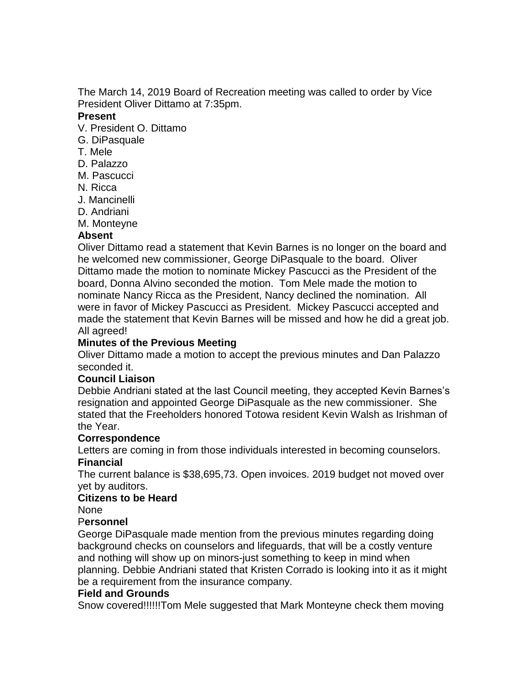The March 14, 2019 Board of Recreation meeting was called to order by Vice President Oliver Dittamo at 7:35pm.

### **Present**

- V. President O. Dittamo
- G. DiPasquale
- T. Mele
- D. Palazzo
- M. Pascucci
- N. Ricca
- J. Mancinelli
- D. Andriani
- M. Monteyne

# **Absent**

Oliver Dittamo read a statement that Kevin Barnes is no longer on the board and he welcomed new commissioner, George DiPasquale to the board. Oliver Dittamo made the motion to nominate Mickey Pascucci as the President of the board, Donna Alvino seconded the motion. Tom Mele made the motion to nominate Nancy Ricca as the President, Nancy declined the nomination. All were in favor of Mickey Pascucci as President. Mickey Pascucci accepted and made the statement that Kevin Barnes will be missed and how he did a great job. All agreed!

# **Minutes of the Previous Meeting**

Oliver Dittamo made a motion to accept the previous minutes and Dan Palazzo seconded it.

# **Council Liaison**

Debbie Andriani stated at the last Council meeting, they accepted Kevin Barnes's resignation and appointed George DiPasquale as the new commissioner. She stated that the Freeholders honored Totowa resident Kevin Walsh as Irishman of the Year.

### **Correspondence**

Letters are coming in from those individuals interested in becoming counselors. **Financial**

The current balance is \$38,695,73. Open invoices. 2019 budget not moved over yet by auditors.

### **Citizens to be Heard**

None

# P**ersonnel**

George DiPasquale made mention from the previous minutes regarding doing background checks on counselors and lifeguards, that will be a costly venture and nothing will show up on minors-just something to keep in mind when planning. Debbie Andriani stated that Kristen Corrado is looking into it as it might be a requirement from the insurance company.

### **Field and Grounds**

Snow covered!!!!!!Tom Mele suggested that Mark Monteyne check them moving